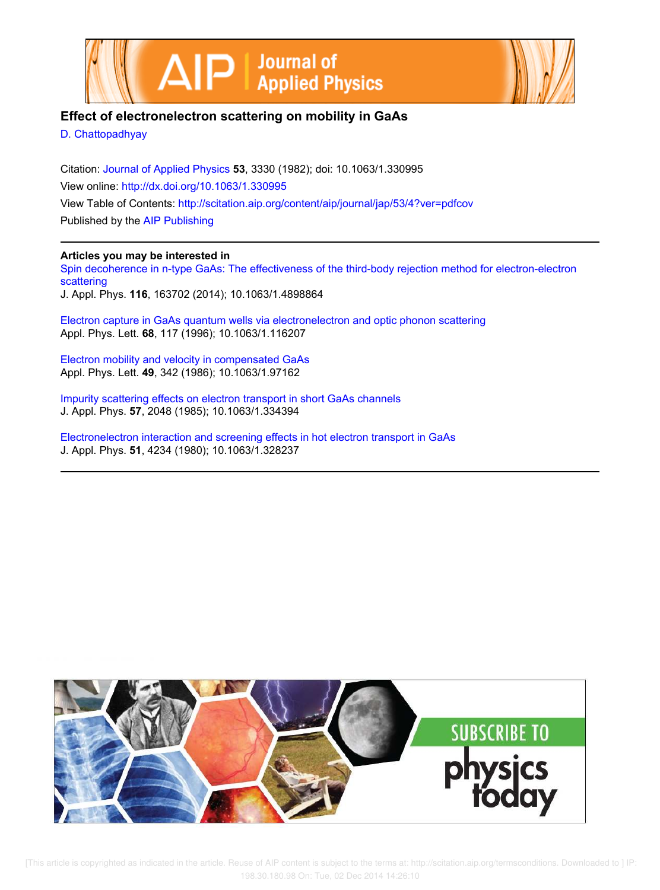



## **Effect of electronelectron scattering on mobility in GaAs**

D. Chattopadhyay

Citation: Journal of Applied Physics **53**, 3330 (1982); doi: 10.1063/1.330995 View online: http://dx.doi.org/10.1063/1.330995 View Table of Contents: http://scitation.aip.org/content/aip/journal/jap/53/4?ver=pdfcov Published by the AIP Publishing

## **Articles you may be interested in**

Spin decoherence in n-type GaAs: The effectiveness of the third-body rejection method for electron-electron scattering J. Appl. Phys. **116**, 163702 (2014); 10.1063/1.4898864

Electron capture in GaAs quantum wells via electronelectron and optic phonon scattering Appl. Phys. Lett. **68**, 117 (1996); 10.1063/1.116207

Electron mobility and velocity in compensated GaAs Appl. Phys. Lett. **49**, 342 (1986); 10.1063/1.97162

Impurity scattering effects on electron transport in short GaAs channels J. Appl. Phys. **57**, 2048 (1985); 10.1063/1.334394

Electronelectron interaction and screening effects in hot electron transport in GaAs J. Appl. Phys. **51**, 4234 (1980); 10.1063/1.328237



[This article is copyrighted as indicated in the article. Reuse of AIP content is subject to the terms at: http://scitation.aip.org/termsconditions. Downloaded to ] IP: 198.30.180.98 On: Tue, 02 Dec 2014 14:26:10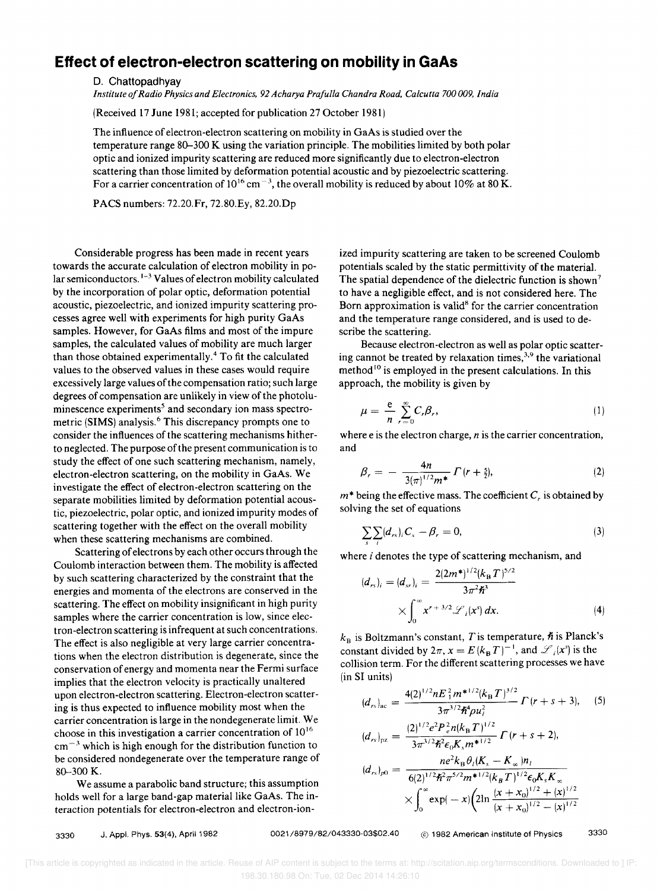## **Effect of electron-electron scattering on mobility in GaAs**

D. Chattopadhyay

*Institute of Radio Physics and Electronics,* 92 *Acharya Prafulla Chandra Road, Calcutta 700 009, India* 

(Received 17 June 1981; accepted for publication 27 October 1981)

The influence of electron-electron scattering on mobility in GaAs is studied over the temperature range 80-300 K using the variation principle. The mobilities limited by both polar optic and ionized impurity scattering are reduced more significantly due to electron-electron scattering than those limited by deformation potential acoustic and by piezoelectric scattering. For a carrier concentration of  $10^{16}$  cm<sup>-3</sup>, the overall mobility is reduced by about 10% at 80 K.

PACS numbers: 72.20.Fr, 72.80.Ey, 82.20.Dp

Considerable progress has been made in recent years towards the accurate calculation of electron mobility in polar semiconductors.<sup>1-3</sup> Values of electron mobility calculated by the incorporation of polar optic, deformation potential acoustic, piezoelectric, and ionized impurity scattering processes agree well with experiments for high purity GaAs samples. However, for GaAs films and most of the impure samples, the calculated values of mobility are much larger than those obtained experimentally.4 To fit the calculated values to the observed values in these cases would require excessively large values of the compensation ratio; such large degrees of compensation are unlikely in view of the photoluminescence experiments<sup>5</sup> and secondary ion mass spectrometric (SIMS) analysis.<sup>6</sup> This discrepancy prompts one to consider the influences of the scattering mechanisms hitherto neglected. The purpose of the present communication is to study the effect of one such scattering mechanism, namely, electron-electron scattering, on the mobility in GaAs. We investigate the effect of electron-electron scattering on the separate mobilities limited by deformation potential acoustic, piezoelectric, polar optic, and ionized impurity modes of scattering together with the effect on the overall mobility when these scattering mechanisms are combined.

Scattering of electrons by each other occurs through the Coulomb interaction between them. The mobility is affected by such scattering characterized by the constraint that the energies and momenta of the electrons are conserved in the scattering. The effect on mobility insignificant in high purity samples where the carrier concentration is low, since electron-electron scattering is infrequent at such concentrations. The effect is also negligible at very large carrier concentrations when the electron distribution is degenerate, since the conservation of energy and momenta near the Fermi surface implies that the electron velocity is practically unaltered upon electron-electron scattering. Electron-electron scattering is thus expected to influence mobility most when the carrier concentration is large in the nondegenerate limit. We choose in this investigation a carrier concentration of 10<sup>16</sup>  $cm<sup>-3</sup>$  which is high enough for the distribution function to be considered nondegenerate over the temperature range of 80-300 K.

We assume a parabolic band structure; this assumption holds well for a large band-gap material like GaAs. The interaction potentials for electron-electron and electron-ionized impurity scattering are taken to be screened Coulomb potentials scaled by the static permittivity of the material. The spatial dependence of the dielectric function is shown<sup>7</sup> to have a negligible effect, and is not considered here. The Born approximation is valid<sup>8</sup> for the carrier concentration and the temperature range considered, and is used to describe the scattering.

Because electron-electron as well as polar optic scattering cannot be treated by relaxation times,<sup>3,9</sup> the variational method<sup>10</sup> is employed in the present calculations. In this approach, the mobility is given by

$$
\mu = \frac{e}{n} \sum_{r=0}^{\infty} C_r \beta_r, \qquad (1)
$$

where e is the electron charge, *n* is the carrier concentration, and

$$
\beta_r = - \frac{4n}{3(\pi)^{1/2}m^*} \Gamma(r + \frac{5}{2}), \qquad (2)
$$

 $m^*$  being the effective mass. The coefficient  $C<sub>r</sub>$  is obtained by solving the set of equations

$$
\sum_{s} \sum_{i} (d_{rs})_i C_s - \beta_r = 0, \tag{3}
$$

where  $i$  denotes the type of scattering mechanism, and

$$
(d_{rs})_i = (d_{sr})_i = \frac{2(2m^*)^{1/2}(k_B T)^{5/2}}{3\pi^2 \hbar^3}
$$

$$
\times \int_0^\infty x^{r+3/2} \mathcal{L}_i(x^s) dx.
$$
 (4)

 $k_{\text{B}}$  is Boltzmann's constant, T is temperature,  $\hbar$  is Planck's constant divided by  $2\pi$ ,  $x = E(k_BT)^{-1}$ , and  $\mathscr{L}_i(x^s)$  is the collision term. For the different scattering processes we have (in SI units)

$$
(d_{rs})_{\text{ac}} = \frac{4(2)^{1/2} n E_{1}^{2} m^{*1/2} (k_{\text{B}} T)^{3/2}}{3 \pi^{3/2} \hbar^{4} \rho u_{i}^{2}} \Gamma(r+s+3), \quad (5)
$$

$$
(d_{rs})_{pz} = \frac{(2)^{1/2}e^2P_e^2n(k_{\rm B}T)^{1/2}}{3\pi^{3/2}\hbar^2\epsilon_0K_sm^*^{1/2}}\Gamma(r+s+2),
$$
  

$$
(d_{rs})_{p0} = \frac{ne^2k_{\rm B}\theta_l(K_s - K_{\infty})n_l}{6(2)^{1/2}\hbar^2\pi^{5/2}m^{*1/2}(k_{\rm B}T)^{1/2}\epsilon_0K_sK_{\infty}}
$$
  

$$
\times \int_0^\infty \exp(-x)\left(2\ln\frac{(x+x_0)^{1/2}+(x)^{1/2}}{(x+x_0)^{1/2}-(x)^{1/2}}\right)
$$

3330 J. AppJ. Phys. 53(4), April 1982 0021/8979/82/043330-03\$02.40 (C) 1982 American Institute of Physics 3330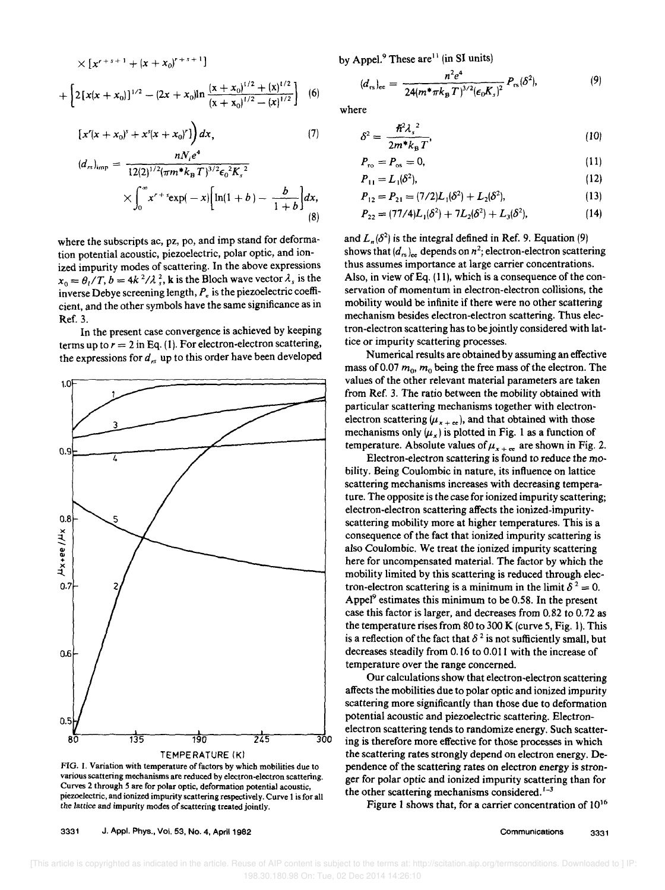$$
\times [x^{r+s+1} + (x + x_0)^{r+s+1}]
$$
  
+ 
$$
\left[ 2[x(x + x_0)]^{1/2} - (2x + x_0) \ln \frac{(x + x_0)^{1/2} + (x)^{1/2}}{(x + x_0)^{1/2} - (x)^{1/2}} \right]
$$
 (6)

 $x + 11$ 

$$
[x'(x + x_0)^s + x^s(x + x_0)^r]\bigg) dx, \tag{7}
$$

$$
(d_{rs})_{\text{imp}} = \frac{12(2)^{1/2} (\pi m^* k_B T)^{3/2} \epsilon_0^2 K_s^2}{\times \int_0^\infty x^{r+s} \exp(-x) \left[ \ln(1+b) - \frac{b}{1+b} \right] dx},
$$
\n(8)

where the subscripts ac, pz, po, and imp stand for deformation potential acoustic, piezoelectric, polar optic, and ionized impurity modes of scattering. In the above expressions  $x_0 = \theta_1/T$ ,  $b = 4k^2/\lambda_s^2$ , **k** is the Bloch wave vector  $\lambda_s$  is the inverse Debye screening length, *Pe* is the piezoelectric coefficient, and the other symbols have the same significance as in Ref. 3.

In the present case convergence is achieved by keeping terms up to  $r = 2$  in Eq. (1). For electron-electron scattering, the expressions for *d,s* up to this order have been developed



FIG. 1. Variation with temperature of factors by which mobilities due to various scattering mechanisms are reduced by electron-electron scattering. Curves 2 through 5 are for polar optic, deformation potential acoustic, piezoelectric, and ionized impurity scattering respectively. Curve 1 is for all the lattice and impurity modes of scattering treated jointly.

3331 J. Appl. Phys., Vol. 53, No.4, April 1982

by Appel. $9$  These are<sup>11</sup> (in SI units)

$$
(d_{rs})_{ee} = \frac{n^2 e^4}{24(m^* \pi k_B T)^{3/2} (\epsilon_0 K_s)^2} P_{rs} (\delta^2), \tag{9}
$$

where

$$
\delta^2 = \frac{\hbar^2 \lambda_s^2}{2m^* k_B T}
$$
 (10)

$$
P_{\rm ro} = P_{\rm os} = 0,\tag{11}
$$

$$
P_{11} = L_1(\delta^2),\tag{12}
$$

$$
P_{12} = P_{21} = (7/2)L_1(\delta^2) + L_2(\delta^2),
$$
\n(13)

$$
P_{22} = (77/4)L_1(\delta^2) + 7L_2(\delta^2) + L_3(\delta^2), \tag{14}
$$

and  $L_n(\delta^2)$  is the integral defined in Ref. 9. Equation (9) shows that  $(d_{rs})_{ee}$  depends on  $n^2$ ; electron-electron scattering thus assumes importance at large carrier concentrations. Also, in view of Eq.  $(11)$ , which is a consequence of the conservation of momentum in electron-electron collisions, the mobility would be infinite if there were no other scattering mechanism besides electron-electron scattering. Thus electron-electron scattering has to be jointly considered with lattice or impurity scattering processes.

Numerical results are obtained by assuming an effective mass of 0.07  $m_0$ ,  $m_0$  being the free mass of the electron. The values of the other relevant material parameters are taken from Ref. 3. The ratio between the mobility obtained with particular scattering mechanisms together with electronelectron scattering  $(\mu_{x + \text{ee}})$ , and that obtained with those mechanisms only  $(\mu_x)$  is plotted in Fig. 1 as a function of temperature. Absolute values of  $\mu_{x + \text{ee}}$  are shown in Fig. 2.

Electron-electron scattering is found to reduce the mobility. Being Coulombic in nature, its influence on lattice scattering mechanisms increases with decreasing temperature. The opposite is the case for ionized impurity scattering; electron-electron scattering affects the ionized-impurityscattering mobility more at higher temperatures. This is a consequence of the fact that ionized impurity scattering is also Coulombic. We treat the ionized impurity scattering here for uncompensated material. The factor by which the mobility limited by this scattering is reduced through. electron-electron scattering is a minimum in the limit  $\delta^2 = 0$ . Appel $^9$  estimates this minimum to be 0.58. In the present case this factor is larger, and decreases from 0.82 to 0.72 as the temperature rises from 80 to 300 K (curve 5, Fig. 1). This is a reflection of the fact that  $\delta^2$  is not sufficiently small, but decreases steadily from 0.16 to 0.011 with the increase of temperature over the range concerned.

Our calculations show that electron-electron scattering affects the mobilities due to polar optic and ionized impurity scattering more significantly than those due to deformation potential acoustic and piezoelectric scattering. Electronelectron scattering tends to randomize energy. Such scattering is therefore more effective for those processes in which the scattering rates strongly depend on electron energy. Dependence of the scattering rates on electron energy is stronger for polar optic and ionized impurity scattering than for the other scattering mechanisms considered. $1-3$ 

Figure I shows that, for a carrier concentration of 10<sup>16</sup>

[This article is copyrighted as indicated in the article. Reuse of AIP content is subject to the terms at: http://scitation.aip.org/termsconditions. Downloaded to ] IP: 198.30.180.98 On: Tue, 02 Dec 2014 14:26:10